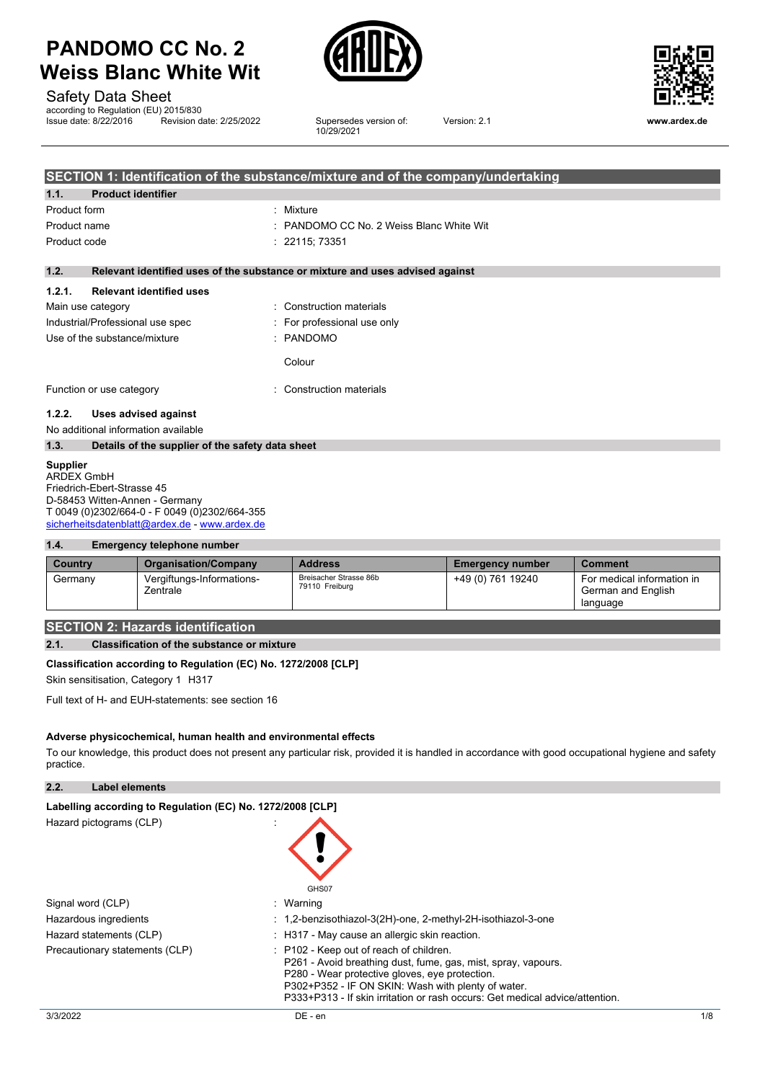

Safety Data Sheet

according to Regulation (EU) 2015/830<br>Issue date: 8/22/2016 Revision d

**Insulfield Revision date: 2/25/2022** Supersedes version of: 10/29/2021



Version: 2.1 **www.ardex.de**

|              | SECTION 1: Identification of the substance/mixture and of the company/undertaking |                                                                               |  |  |
|--------------|-----------------------------------------------------------------------------------|-------------------------------------------------------------------------------|--|--|
| 1.1.         | <b>Product identifier</b>                                                         |                                                                               |  |  |
| Product form |                                                                                   | : Mixture                                                                     |  |  |
|              | Product name                                                                      | : PANDOMO CC No. 2 Weiss Blanc White Wit                                      |  |  |
| Product code |                                                                                   | : 22115:73351                                                                 |  |  |
| 1.2.         |                                                                                   | Relevant identified uses of the substance or mixture and uses advised against |  |  |
| 1.2.1.       | <b>Relevant identified uses</b>                                                   |                                                                               |  |  |
|              | Main use category                                                                 | : Construction materials                                                      |  |  |
|              | Industrial/Professional use spec                                                  | : For professional use only                                                   |  |  |
|              | Use of the substance/mixture                                                      | : PANDOMO                                                                     |  |  |
|              |                                                                                   | Colour                                                                        |  |  |
|              | Function or use category                                                          | : Construction materials                                                      |  |  |
| 1.2.2.       | Uses advised against                                                              |                                                                               |  |  |
|              | No additional information available                                               |                                                                               |  |  |
| 1.3.         | Details of the supplier of the safety data sheet                                  |                                                                               |  |  |

#### **Supplier**

ARDEX GmbH Friedrich-Ebert-Strasse 45 D-58453 Witten-Annen - Germany T 0049 (0)2302/664-0 - F 0049 (0)2302/664-355 [sicherheitsdatenblatt@ardex.de](mailto:sicherheitsdatenblatt@ardex.de) - [www.ardex.de](http://www.ardex.de/)

#### **1.4. Emergency telephone number**

| Country | <b>Organisation/Company</b>           | <b>Address</b>                           | <b>Emergency number</b> | <b>Comment</b>                                               |
|---------|---------------------------------------|------------------------------------------|-------------------------|--------------------------------------------------------------|
| Germany | Vergiftungs-Informations-<br>Zentrale | Breisacher Strasse 86b<br>79110 Freiburg | +49 (0) 761 19240       | For medical information in<br>German and English<br>language |

#### **SECTION 2: Hazards identification**

#### **2.1. Classification of the substance or mixture**

#### **Classification according to Regulation (EC) No. 1272/2008 [CLP]**

Skin sensitisation, Category 1 H317

Full text of H- and EUH-statements: see section 16

#### **Adverse physicochemical, human health and environmental effects**

To our knowledge, this product does not present any particular risk, provided it is handled in accordance with good occupational hygiene and safety practice.

**2.2. Label elements**

| Labelling according to Regulation (EC) No. 1272/2008 [CLP] |                                                                                                                                                                                                                                                                                                             |
|------------------------------------------------------------|-------------------------------------------------------------------------------------------------------------------------------------------------------------------------------------------------------------------------------------------------------------------------------------------------------------|
| Hazard pictograms (CLP)                                    | GHS07                                                                                                                                                                                                                                                                                                       |
| Signal word (CLP)                                          | : Warning                                                                                                                                                                                                                                                                                                   |
| Hazardous ingredients                                      | : 1,2-benzisothiazol-3(2H)-one, 2-methyl-2H-isothiazol-3-one                                                                                                                                                                                                                                                |
| Hazard statements (CLP)                                    | : H317 - May cause an allergic skin reaction.                                                                                                                                                                                                                                                               |
| Precautionary statements (CLP)                             | $\therefore$ P102 - Keep out of reach of children.<br>P261 - Avoid breathing dust, fume, gas, mist, spray, vapours.<br>P280 - Wear protective gloves, eve protection.<br>P302+P352 - IF ON SKIN: Wash with plenty of water.<br>P333+P313 - If skin irritation or rash occurs: Get medical advice/attention. |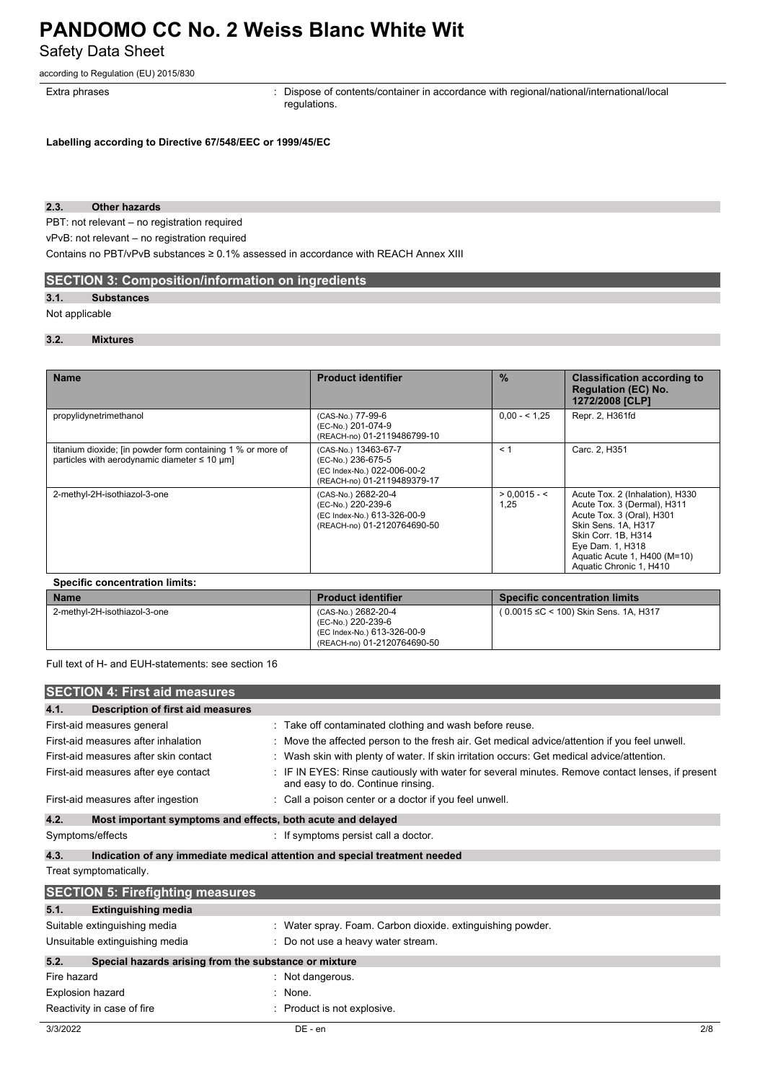Safety Data Sheet

according to Regulation (EU) 2015/830

Extra phrases **in the pharaely contents**: Dispose of contents/container in accordance with regional/national/international/local regulations.

**Labelling according to Directive 67/548/EEC or 1999/45/EC**

#### **2.3. Other hazards**

PBT: not relevant – no registration required

vPvB: not relevant – no registration required

Contains no PBT/vPvB substances ≥ 0.1% assessed in accordance with REACH Annex XIII

### **SECTION 3: Composition/information on ingredients**

#### **3.1. Substances**

#### Not applicable

#### **3.2. Mixtures**

| <b>Name</b>                                                                                                                        | <b>Product identifier</b>                                                                                | $\frac{9}{6}$          | <b>Classification according to</b><br><b>Regulation (EC) No.</b><br>1272/2008 [CLP]                                                                                                                                      |
|------------------------------------------------------------------------------------------------------------------------------------|----------------------------------------------------------------------------------------------------------|------------------------|--------------------------------------------------------------------------------------------------------------------------------------------------------------------------------------------------------------------------|
| propylidynetrimethanol                                                                                                             | (CAS-No.) 77-99-6<br>(EC-No.) 201-074-9<br>(REACH-no) 01-2119486799-10                                   | $0.00 - 5.25$          | Repr. 2, H361fd                                                                                                                                                                                                          |
| titanium dioxide; [in powder form containing 1 % or more of<br>particles with aerodynamic diameter $\leq 10 \text{ }\mu\text{m}$ ] | (CAS-No.) 13463-67-7<br>(EC-No.) 236-675-5<br>(EC Index-No.) 022-006-00-2<br>(REACH-no) 01-2119489379-17 | < 1                    | Carc. 2, H351                                                                                                                                                                                                            |
| 2-methyl-2H-isothiazol-3-one                                                                                                       | (CAS-No.) 2682-20-4<br>(EC-No.) 220-239-6<br>(EC Index-No.) 613-326-00-9<br>(REACH-no) 01-2120764690-50  | $> 0.0015 - 5$<br>1,25 | Acute Tox. 2 (Inhalation), H330<br>Acute Tox. 3 (Dermal), H311<br>Acute Tox. 3 (Oral), H301<br>Skin Sens. 1A, H317<br>Skin Corr. 1B. H314<br>Eye Dam. 1, H318<br>Aguatic Acute 1, H400 (M=10)<br>Aquatic Chronic 1, H410 |

| <b>Name</b>                  | <b>Product identifier</b>                                                                               | <b>Specific concentration limits</b>  |
|------------------------------|---------------------------------------------------------------------------------------------------------|---------------------------------------|
| 2-methyl-2H-isothiazol-3-one | (CAS-No.) 2682-20-4<br>(EC-No.) 220-239-6<br>(EC Index-No.) 613-326-00-9<br>(REACH-no) 01-2120764690-50 | (0.0015 ≤C < 100) Skin Sens. 1A, H317 |

Full text of H- and EUH-statements: see section 16

|             | <b>SECTION 4: First aid measures</b>                        |                                                                                                                                     |     |
|-------------|-------------------------------------------------------------|-------------------------------------------------------------------------------------------------------------------------------------|-----|
| 4.1.        | Description of first aid measures                           |                                                                                                                                     |     |
|             | First-aid measures general                                  | : Take off contaminated clothing and wash before reuse.                                                                             |     |
|             | First-aid measures after inhalation                         | Move the affected person to the fresh air. Get medical advice/attention if you feel unwell.                                         |     |
|             | First-aid measures after skin contact                       | : Wash skin with plenty of water. If skin irritation occurs: Get medical advice/attention.                                          |     |
|             | First-aid measures after eye contact                        | IF IN EYES: Rinse cautiously with water for several minutes. Remove contact lenses, if present<br>and easy to do. Continue rinsing. |     |
|             | First-aid measures after ingestion                          | : Call a poison center or a doctor if you feel unwell.                                                                              |     |
| 4.2.        | Most important symptoms and effects, both acute and delayed |                                                                                                                                     |     |
|             | Symptoms/effects                                            | : If symptoms persist call a doctor.                                                                                                |     |
| 4.3.        |                                                             | Indication of any immediate medical attention and special treatment needed                                                          |     |
|             | Treat symptomatically.                                      |                                                                                                                                     |     |
|             | <b>SECTION 5: Firefighting measures</b>                     |                                                                                                                                     |     |
| 5.1.        | <b>Extinguishing media</b>                                  |                                                                                                                                     |     |
|             | Suitable extinguishing media                                | : Water spray. Foam. Carbon dioxide. extinguishing powder.                                                                          |     |
|             | Unsuitable extinguishing media                              | Do not use a heavy water stream.                                                                                                    |     |
| 5.2.        | Special hazards arising from the substance or mixture       |                                                                                                                                     |     |
| Fire hazard |                                                             | Not dangerous.                                                                                                                      |     |
|             | Explosion hazard                                            | None.                                                                                                                               |     |
|             | Reactivity in case of fire                                  | Product is not explosive.                                                                                                           |     |
| 3/3/2022    |                                                             | $DE - en$                                                                                                                           | 2/8 |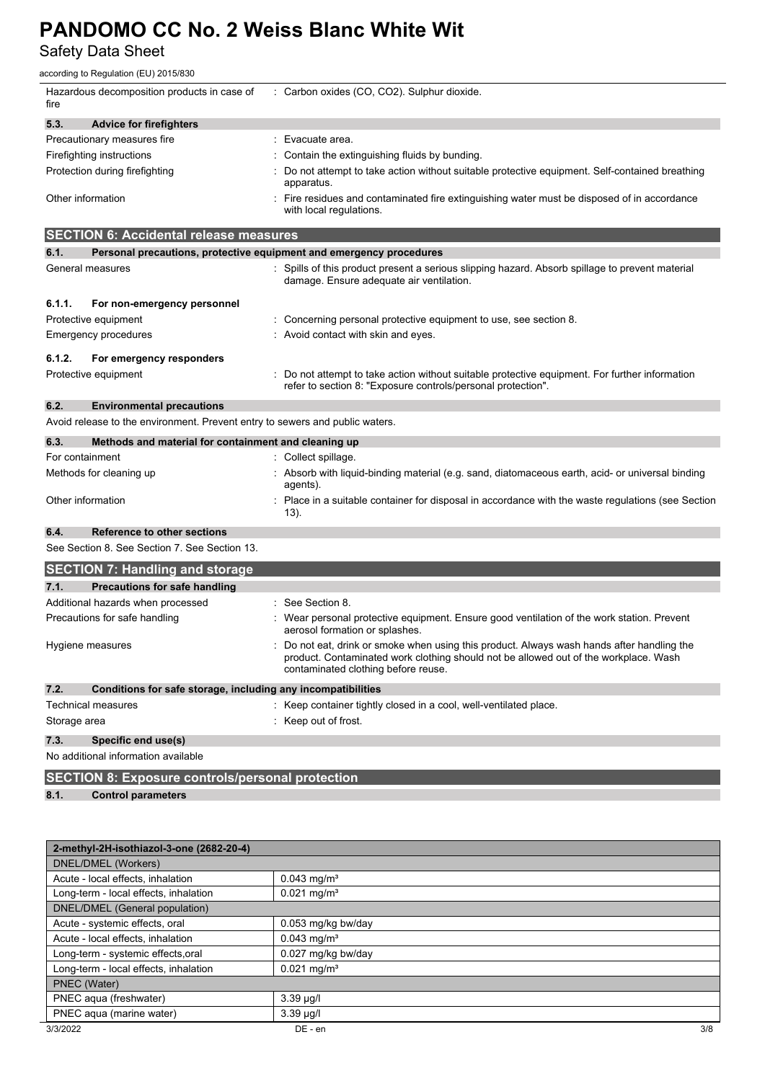Safety Data Sheet

according to Regulation (EU) 2015/830

| fire              | Hazardous decomposition products in case of                                  | : Carbon oxides (CO, CO2). Sulphur dioxide.                                                                                                                                                                             |
|-------------------|------------------------------------------------------------------------------|-------------------------------------------------------------------------------------------------------------------------------------------------------------------------------------------------------------------------|
| 5.3.              | <b>Advice for firefighters</b>                                               |                                                                                                                                                                                                                         |
|                   | Precautionary measures fire                                                  | Evacuate area.                                                                                                                                                                                                          |
|                   | Firefighting instructions                                                    | Contain the extinguishing fluids by bunding.                                                                                                                                                                            |
|                   | Protection during firefighting                                               | Do not attempt to take action without suitable protective equipment. Self-contained breathing<br>apparatus.                                                                                                             |
| Other information |                                                                              | Fire residues and contaminated fire extinguishing water must be disposed of in accordance<br>with local regulations.                                                                                                    |
|                   | <b>SECTION 6: Accidental release measures</b>                                |                                                                                                                                                                                                                         |
| 6.1.              | Personal precautions, protective equipment and emergency procedures          |                                                                                                                                                                                                                         |
|                   | General measures                                                             | Spills of this product present a serious slipping hazard. Absorb spillage to prevent material<br>damage. Ensure adequate air ventilation.                                                                               |
| 6.1.1.            | For non-emergency personnel                                                  |                                                                                                                                                                                                                         |
|                   | Protective equipment                                                         | Concerning personal protective equipment to use, see section 8.                                                                                                                                                         |
|                   | Emergency procedures                                                         | Avoid contact with skin and eyes.                                                                                                                                                                                       |
| 6.1.2.            | For emergency responders                                                     |                                                                                                                                                                                                                         |
|                   | Protective equipment                                                         | Do not attempt to take action without suitable protective equipment. For further information<br>refer to section 8: "Exposure controls/personal protection".                                                            |
| 6.2.              | <b>Environmental precautions</b>                                             |                                                                                                                                                                                                                         |
|                   | Avoid release to the environment. Prevent entry to sewers and public waters. |                                                                                                                                                                                                                         |
| 6.3.              | Methods and material for containment and cleaning up                         |                                                                                                                                                                                                                         |
| For containment   |                                                                              | Collect spillage.                                                                                                                                                                                                       |
|                   | Methods for cleaning up                                                      | Absorb with liquid-binding material (e.g. sand, diatomaceous earth, acid- or universal binding<br>agents).                                                                                                              |
| Other information |                                                                              | Place in a suitable container for disposal in accordance with the waste regulations (see Section<br>13).                                                                                                                |
| 6.4.              | Reference to other sections                                                  |                                                                                                                                                                                                                         |
|                   | See Section 8. See Section 7. See Section 13.                                |                                                                                                                                                                                                                         |
|                   | <b>SECTION 7: Handling and storage</b>                                       |                                                                                                                                                                                                                         |
| 7.1.              | <b>Precautions for safe handling</b>                                         |                                                                                                                                                                                                                         |
|                   | Additional hazards when processed                                            | See Section 8.                                                                                                                                                                                                          |
|                   | Precautions for safe handling                                                | Wear personal protective equipment. Ensure good ventilation of the work station. Prevent<br>aerosol formation or splashes.                                                                                              |
|                   | Hygiene measures                                                             | Do not eat, drink or smoke when using this product. Always wash hands after handling the<br>product. Contaminated work clothing should not be allowed out of the workplace. Wash<br>contaminated clothing before reuse. |
| 7.2.              | Conditions for safe storage, including any incompatibilities                 |                                                                                                                                                                                                                         |
|                   | <b>Technical measures</b>                                                    | : Keep container tightly closed in a cool, well-ventilated place.                                                                                                                                                       |
| Storage area      |                                                                              | : Keep out of frost.                                                                                                                                                                                                    |
| 7.3.              | Specific end use(s)                                                          |                                                                                                                                                                                                                         |
|                   | No additional information available                                          |                                                                                                                                                                                                                         |
|                   | <b>SECTION 8: Exposure controls/personal protection</b>                      |                                                                                                                                                                                                                         |
| 8.1.              | <b>Control parameters</b>                                                    |                                                                                                                                                                                                                         |
|                   |                                                                              |                                                                                                                                                                                                                         |

| 2-methyl-2H-isothiazol-3-one (2682-20-4) |                           |     |  |
|------------------------------------------|---------------------------|-----|--|
| DNEL/DMEL (Workers)                      |                           |     |  |
| Acute - local effects, inhalation        | $0.043$ mg/m <sup>3</sup> |     |  |
| Long-term - local effects, inhalation    | $0.021$ mg/m <sup>3</sup> |     |  |
| DNEL/DMEL (General population)           |                           |     |  |
| Acute - systemic effects, oral           | 0.053 mg/kg bw/day        |     |  |
| Acute - local effects, inhalation        | $0.043$ mg/m <sup>3</sup> |     |  |
| Long-term - systemic effects, oral       | 0.027 mg/kg bw/day        |     |  |
| Long-term - local effects, inhalation    | $0.021$ mg/m <sup>3</sup> |     |  |
| PNEC (Water)                             |                           |     |  |
| PNEC aqua (freshwater)                   | $3.39 \mu g/l$            |     |  |
| PNEC aqua (marine water)                 | $3.39 \mu g/l$            |     |  |
| 3/3/2022                                 | DE - en                   | 3/8 |  |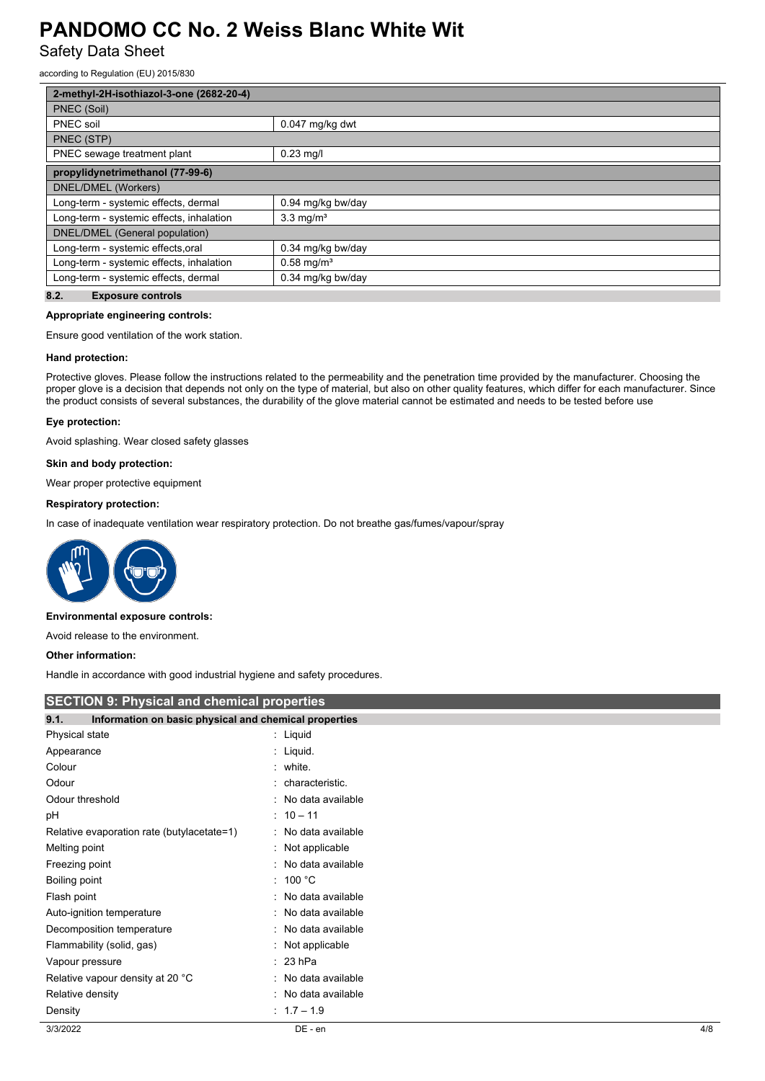Safety Data Sheet

according to Regulation (EU) 2015/830

| 2-methyl-2H-isothiazol-3-one (2682-20-4) |                          |  |  |
|------------------------------------------|--------------------------|--|--|
| PNEC (Soil)                              |                          |  |  |
| PNEC soil                                | 0.047 mg/kg dwt          |  |  |
| PNEC (STP)                               |                          |  |  |
| PNEC sewage treatment plant              | $0.23$ mg/l              |  |  |
| propylidynetrimethanol (77-99-6)         |                          |  |  |
| DNEL/DMEL (Workers)                      |                          |  |  |
| Long-term - systemic effects, dermal     | 0.94 mg/kg bw/day        |  |  |
| Long-term - systemic effects, inhalation | $3.3 \text{ mg/m}^3$     |  |  |
| DNEL/DMEL (General population)           |                          |  |  |
| Long-term - systemic effects, oral       | 0.34 mg/kg bw/day        |  |  |
| Long-term - systemic effects, inhalation | $0.58$ mg/m <sup>3</sup> |  |  |
| Long-term - systemic effects, dermal     | 0.34 mg/kg bw/day        |  |  |

#### **8.2. Exposure controls**

#### **Appropriate engineering controls:**

Ensure good ventilation of the work station.

#### **Hand protection:**

Protective gloves. Please follow the instructions related to the permeability and the penetration time provided by the manufacturer. Choosing the proper glove is a decision that depends not only on the type of material, but also on other quality features, which differ for each manufacturer. Since the product consists of several substances, the durability of the glove material cannot be estimated and needs to be tested before use

#### **Eye protection:**

Avoid splashing. Wear closed safety glasses

#### **Skin and body protection:**

Wear proper protective equipment

#### **Respiratory protection:**

In case of inadequate ventilation wear respiratory protection. Do not breathe gas/fumes/vapour/spray



#### **Environmental exposure controls:**

Avoid release to the environment.

#### **Other information:**

Handle in accordance with good industrial hygiene and safety procedures.

| <b>SECTION 9: Physical and chemical properties</b>            |                     |     |  |
|---------------------------------------------------------------|---------------------|-----|--|
| 9.1.<br>Information on basic physical and chemical properties |                     |     |  |
| Physical state                                                | : Liquid            |     |  |
| Appearance                                                    | : Liquid.           |     |  |
| Colour                                                        | : white.            |     |  |
| Odour                                                         | : characteristic.   |     |  |
| Odour threshold                                               | : No data available |     |  |
| рH                                                            | $: 10 - 11$         |     |  |
| Relative evaporation rate (butylacetate=1)                    | : No data available |     |  |
| Melting point                                                 | : Not applicable    |     |  |
| Freezing point                                                | : No data available |     |  |
| Boiling point                                                 | : 100 °C            |     |  |
| Flash point                                                   | : No data available |     |  |
| Auto-ignition temperature                                     | : No data available |     |  |
| Decomposition temperature                                     | : No data available |     |  |
| Flammability (solid, gas)                                     | : Not applicable    |     |  |
| Vapour pressure                                               | $: 23$ hPa          |     |  |
| Relative vapour density at 20 °C                              | : No data available |     |  |
| Relative density                                              | : No data available |     |  |
| Density                                                       | $: 1.7 - 1.9$       |     |  |
| 3/3/2022                                                      | DE - en             | 4/8 |  |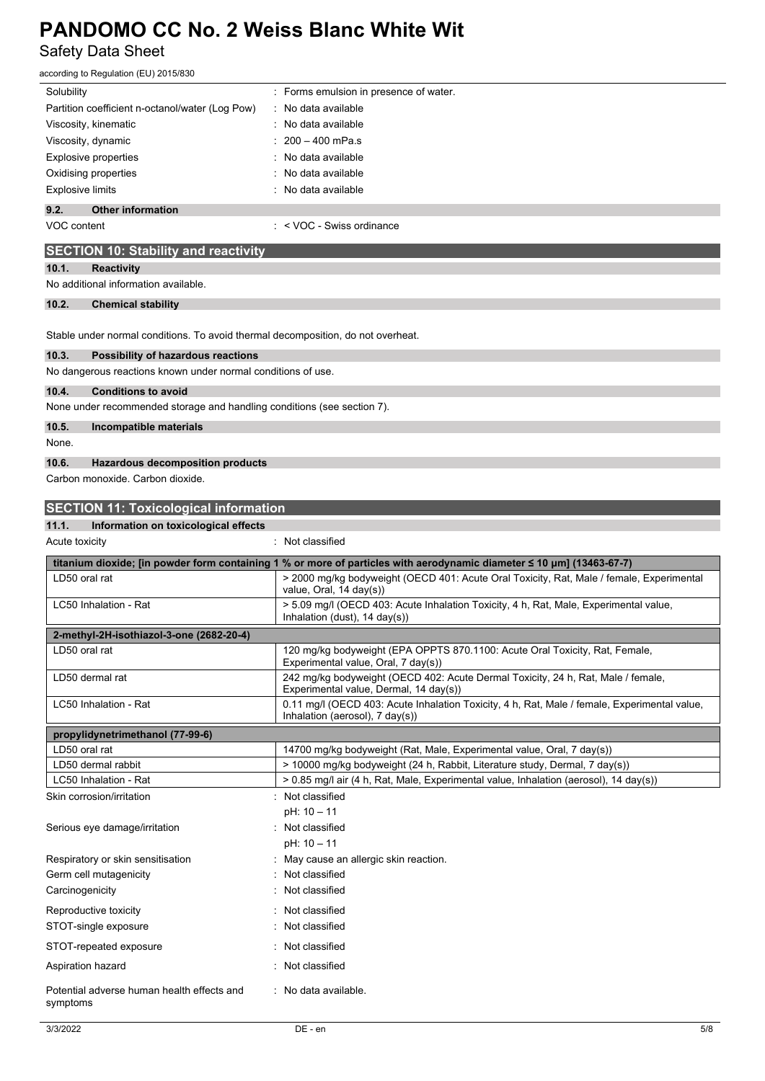Safety Data Sheet according to Regulation (EU) 2015/830

| Solubility                                                                       | Forms emulsion in presence of water.                                                                                                                                                                              |
|----------------------------------------------------------------------------------|-------------------------------------------------------------------------------------------------------------------------------------------------------------------------------------------------------------------|
| Partition coefficient n-octanol/water (Log Pow)                                  | No data available                                                                                                                                                                                                 |
| Viscosity, kinematic                                                             | No data available                                                                                                                                                                                                 |
| Viscosity, dynamic                                                               | $200 - 400$ mPa.s                                                                                                                                                                                                 |
| <b>Explosive properties</b>                                                      | No data available                                                                                                                                                                                                 |
| Oxidising properties                                                             | No data available                                                                                                                                                                                                 |
| <b>Explosive limits</b>                                                          | No data available                                                                                                                                                                                                 |
| 9.2.<br><b>Other information</b>                                                 |                                                                                                                                                                                                                   |
| VOC content                                                                      | $:$ < VOC - Swiss ordinance                                                                                                                                                                                       |
| <b>SECTION 10: Stability and reactivity</b>                                      |                                                                                                                                                                                                                   |
| 10.1.<br><b>Reactivity</b>                                                       |                                                                                                                                                                                                                   |
| No additional information available.                                             |                                                                                                                                                                                                                   |
| 10.2.<br><b>Chemical stability</b>                                               |                                                                                                                                                                                                                   |
|                                                                                  |                                                                                                                                                                                                                   |
| Stable under normal conditions. To avoid thermal decomposition, do not overheat. |                                                                                                                                                                                                                   |
| 10.3.<br>Possibility of hazardous reactions                                      |                                                                                                                                                                                                                   |
| No dangerous reactions known under normal conditions of use.                     |                                                                                                                                                                                                                   |
| 10.4.<br><b>Conditions to avoid</b>                                              |                                                                                                                                                                                                                   |
| None under recommended storage and handling conditions (see section 7).          |                                                                                                                                                                                                                   |
|                                                                                  |                                                                                                                                                                                                                   |
| 10.5.<br>Incompatible materials                                                  |                                                                                                                                                                                                                   |
| None.                                                                            |                                                                                                                                                                                                                   |
| 10.6.<br><b>Hazardous decomposition products</b>                                 |                                                                                                                                                                                                                   |
| Carbon monoxide. Carbon dioxide.                                                 |                                                                                                                                                                                                                   |
| <b>SECTION 11: Toxicological information</b>                                     |                                                                                                                                                                                                                   |
| 11.1.<br>Information on toxicological effects                                    |                                                                                                                                                                                                                   |
| Acute toxicity                                                                   | : Not classified                                                                                                                                                                                                  |
|                                                                                  |                                                                                                                                                                                                                   |
| LD50 oral rat                                                                    | titanium dioxide; [in powder form containing 1 % or more of particles with aerodynamic diameter ≤ 10 µm] (13463-67-7)<br>> 2000 mg/kg bodyweight (OECD 401: Acute Oral Toxicity, Rat, Male / female, Experimental |
|                                                                                  | value, Oral, 14 day(s))                                                                                                                                                                                           |
| LC50 Inhalation - Rat                                                            | > 5.09 mg/l (OECD 403: Acute Inhalation Toxicity, 4 h, Rat, Male, Experimental value,                                                                                                                             |
|                                                                                  | Inhalation (dust), $14 \text{ day}(s)$ )                                                                                                                                                                          |
| 2-methyl-2H-isothiazol-3-one (2682-20-4)                                         |                                                                                                                                                                                                                   |
| LD50 oral rat                                                                    | 120 mg/kg bodyweight (EPA OPPTS 870.1100: Acute Oral Toxicity, Rat, Female,<br>Experimental value, Oral, 7 day(s))                                                                                                |
| LD50 dermal rat                                                                  | 242 mg/kg bodyweight (OECD 402: Acute Dermal Toxicity, 24 h, Rat, Male / female,                                                                                                                                  |
|                                                                                  | Experimental value, Dermal, 14 day(s))                                                                                                                                                                            |
| LC50 Inhalation - Rat                                                            | 0.11 mg/l (OECD 403: Acute Inhalation Toxicity, 4 h, Rat, Male / female, Experimental value,                                                                                                                      |
|                                                                                  | Inhalation (aerosol), $7 \text{ day}(s)$ )                                                                                                                                                                        |
| propylidynetrimethanol (77-99-6)                                                 |                                                                                                                                                                                                                   |
| LD50 oral rat<br>LD50 dermal rabbit                                              | 14700 mg/kg bodyweight (Rat, Male, Experimental value, Oral, 7 day(s))<br>> 10000 mg/kg bodyweight (24 h, Rabbit, Literature study, Dermal, 7 day(s))                                                             |
| LC50 Inhalation - Rat                                                            | > 0.85 mg/l air (4 h, Rat, Male, Experimental value, Inhalation (aerosol), 14 day(s))                                                                                                                             |
| Skin corrosion/irritation                                                        | : Not classified                                                                                                                                                                                                  |
|                                                                                  | pH: 10 - 11                                                                                                                                                                                                       |
| Serious eye damage/irritation                                                    | : Not classified                                                                                                                                                                                                  |
|                                                                                  | pH: 10 - 11                                                                                                                                                                                                       |
| Respiratory or skin sensitisation                                                | : May cause an allergic skin reaction.                                                                                                                                                                            |
| Germ cell mutagenicity                                                           | Not classified                                                                                                                                                                                                    |
| Carcinogenicity                                                                  | Not classified                                                                                                                                                                                                    |
| Reproductive toxicity                                                            | Not classified                                                                                                                                                                                                    |
| STOT-single exposure                                                             | Not classified                                                                                                                                                                                                    |
| STOT-repeated exposure                                                           | Not classified                                                                                                                                                                                                    |
| Aspiration hazard                                                                | Not classified                                                                                                                                                                                                    |
|                                                                                  |                                                                                                                                                                                                                   |
| Potential adverse human health effects and<br>symptoms                           | : No data available.                                                                                                                                                                                              |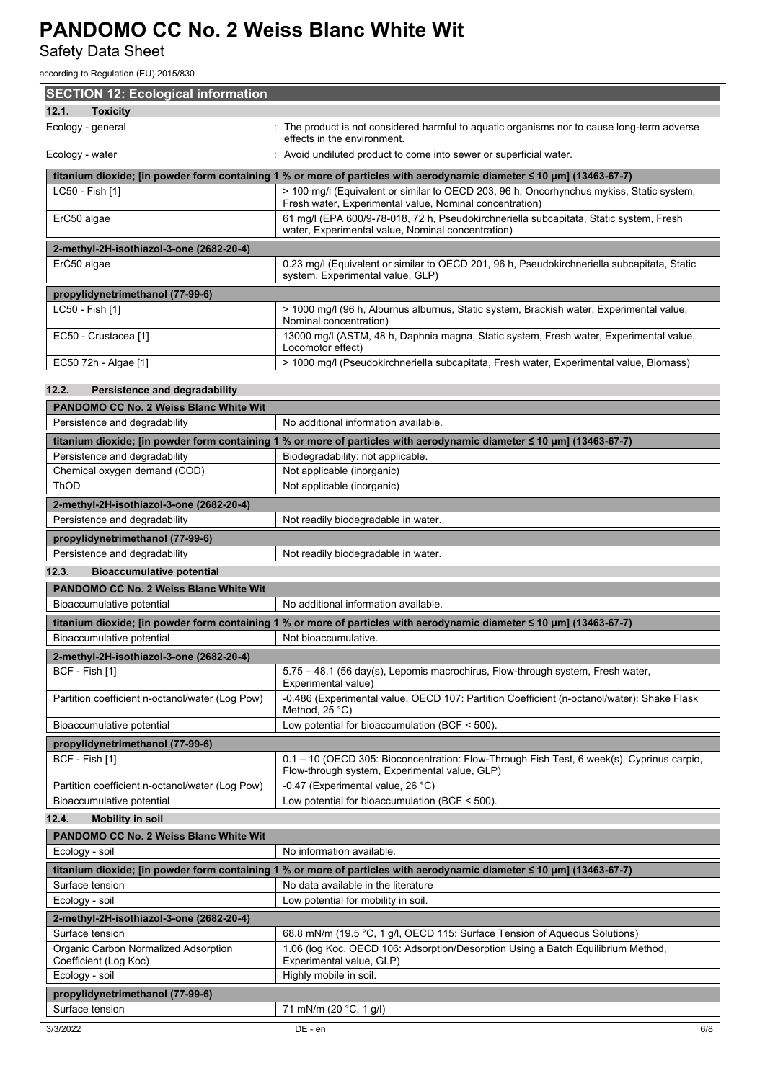Safety Data Sheet

| according to Regulation (EU) 2015/830                                          |                                                                                                                                                            |
|--------------------------------------------------------------------------------|------------------------------------------------------------------------------------------------------------------------------------------------------------|
| <b>SECTION 12: Ecological information</b>                                      |                                                                                                                                                            |
| 12.1.<br><b>Toxicity</b>                                                       |                                                                                                                                                            |
| Ecology - general                                                              | The product is not considered harmful to aquatic organisms nor to cause long-term adverse<br>effects in the environment.                                   |
| Ecology - water                                                                | : Avoid undiluted product to come into sewer or superficial water.                                                                                         |
|                                                                                | titanium dioxide; [in powder form containing 1 % or more of particles with aerodynamic diameter ≤ 10 µm] (13463-67-7)                                      |
| LC50 - Fish [1]                                                                | > 100 mg/l (Equivalent or similar to OECD 203, 96 h, Oncorhynchus mykiss, Static system,<br>Fresh water, Experimental value, Nominal concentration)        |
| ErC50 algae                                                                    | 61 mg/l (EPA 600/9-78-018, 72 h, Pseudokirchneriella subcapitata, Static system, Fresh<br>water, Experimental value, Nominal concentration)                |
| 2-methyl-2H-isothiazol-3-one (2682-20-4)                                       |                                                                                                                                                            |
| ErC50 algae                                                                    | 0.23 mg/l (Equivalent or similar to OECD 201, 96 h, Pseudokirchneriella subcapitata, Static<br>system, Experimental value, GLP)                            |
| propylidynetrimethanol (77-99-6)                                               |                                                                                                                                                            |
| LC50 - Fish [1]                                                                | > 1000 mg/l (96 h, Alburnus alburnus, Static system, Brackish water, Experimental value,<br>Nominal concentration)                                         |
| EC50 - Crustacea [1]                                                           | 13000 mg/l (ASTM, 48 h, Daphnia magna, Static system, Fresh water, Experimental value,<br>Locomotor effect)                                                |
| EC50 72h - Algae [1]                                                           | > 1000 mg/l (Pseudokirchneriella subcapitata, Fresh water, Experimental value, Biomass)                                                                    |
|                                                                                |                                                                                                                                                            |
| 12.2.<br>Persistence and degradability                                         |                                                                                                                                                            |
| <b>PANDOMO CC No. 2 Weiss Blanc White Wit</b><br>Persistence and degradability | No additional information available.                                                                                                                       |
|                                                                                |                                                                                                                                                            |
| Persistence and degradability                                                  | titanium dioxide; [in powder form containing 1 % or more of particles with aerodynamic diameter ≤ 10 µm] (13463-67-7)<br>Biodegradability: not applicable. |
| Chemical oxygen demand (COD)                                                   | Not applicable (inorganic)                                                                                                                                 |
| ThOD                                                                           | Not applicable (inorganic)                                                                                                                                 |
| 2-methyl-2H-isothiazol-3-one (2682-20-4)                                       |                                                                                                                                                            |
| Persistence and degradability                                                  | Not readily biodegradable in water.                                                                                                                        |
| propylidynetrimethanol (77-99-6)                                               |                                                                                                                                                            |
| Persistence and degradability                                                  | Not readily biodegradable in water.                                                                                                                        |
| 12.3.<br><b>Bioaccumulative potential</b>                                      |                                                                                                                                                            |
| PANDOMO CC No. 2 Weiss Blanc White Wit                                         |                                                                                                                                                            |
| Bioaccumulative potential                                                      | No additional information available.                                                                                                                       |
|                                                                                | titanium dioxide; [in powder form containing 1 % or more of particles with aerodynamic diameter ≤ 10 µm] (13463-67-7)                                      |
| Bioaccumulative potential                                                      | Not bioaccumulative.                                                                                                                                       |
| 2-methyl-2H-isothiazol-3-one (2682-20-4)                                       |                                                                                                                                                            |
| BCF - Fish [1]                                                                 | 5.75 - 48.1 (56 day(s), Lepomis macrochirus, Flow-through system, Fresh water,<br>Experimental value)                                                      |
| Partition coefficient n-octanol/water (Log Pow)                                | -0.486 (Experimental value, OECD 107: Partition Coefficient (n-octanol/water): Shake Flask<br>Method, $25^{\circ}$ C)                                      |
| Bioaccumulative potential                                                      | Low potential for bioaccumulation (BCF < 500).                                                                                                             |
| propylidynetrimethanol (77-99-6)                                               |                                                                                                                                                            |
| BCF - Fish [1]                                                                 | 0.1 - 10 (OECD 305: Bioconcentration: Flow-Through Fish Test, 6 week(s), Cyprinus carpio,<br>Flow-through system, Experimental value, GLP)                 |
| Partition coefficient n-octanol/water (Log Pow)<br>Bioaccumulative potential   | -0.47 (Experimental value, 26 °C)<br>Low potential for bioaccumulation (BCF < 500).                                                                        |
| 12.4.<br><b>Mobility in soil</b>                                               |                                                                                                                                                            |
| <b>PANDOMO CC No. 2 Weiss Blanc White Wit</b>                                  |                                                                                                                                                            |
| Ecology - soil                                                                 | No information available.                                                                                                                                  |
|                                                                                | titanium dioxide; [in powder form containing 1 % or more of particles with aerodynamic diameter ≤ 10 µm] (13463-67-7)                                      |
| Surface tension                                                                | No data available in the literature                                                                                                                        |
| Ecology - soil                                                                 | Low potential for mobility in soil.                                                                                                                        |
| 2-methyl-2H-isothiazol-3-one (2682-20-4)                                       |                                                                                                                                                            |
| Surface tension                                                                | 68.8 mN/m (19.5 °C, 1 g/l, OECD 115: Surface Tension of Aqueous Solutions)                                                                                 |
| Organic Carbon Normalized Adsorption<br>Coefficient (Log Koc)                  | 1.06 (log Koc, OECD 106: Adsorption/Desorption Using a Batch Equilibrium Method,<br>Experimental value, GLP)                                               |
| Ecology - soil                                                                 | Highly mobile in soil.                                                                                                                                     |
| propylidynetrimethanol (77-99-6)                                               |                                                                                                                                                            |
| Surface tension                                                                | 71 mN/m (20 °C, 1 g/l)                                                                                                                                     |
|                                                                                |                                                                                                                                                            |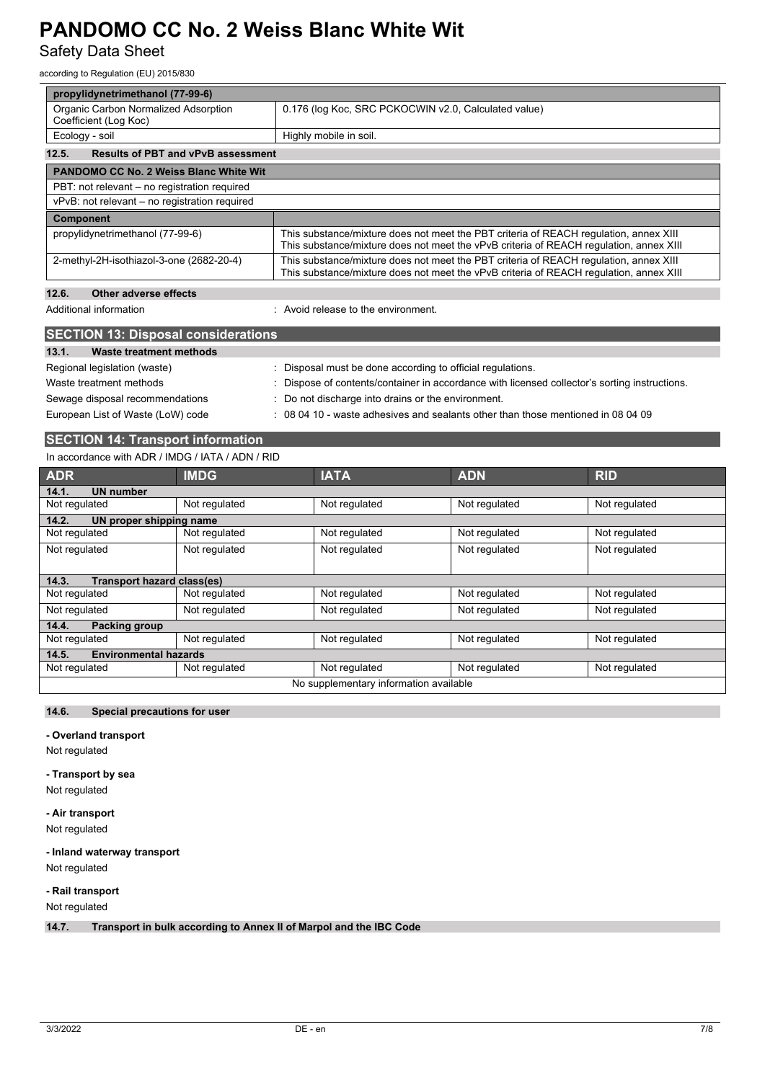Safety Data Sheet

according to Regulation (EU) 2015/830

| propylidynetrimethanol (77-99-6)                              |                                                                                                                                                                                 |  |  |  |
|---------------------------------------------------------------|---------------------------------------------------------------------------------------------------------------------------------------------------------------------------------|--|--|--|
| Organic Carbon Normalized Adsorption<br>Coefficient (Log Koc) | 0.176 (log Koc, SRC PCKOCWIN v2.0, Calculated value)                                                                                                                            |  |  |  |
| Ecology - soil                                                | Highly mobile in soil.                                                                                                                                                          |  |  |  |
| <b>Results of PBT and vPvB assessment</b><br>12.5.            |                                                                                                                                                                                 |  |  |  |
| <b>PANDOMO CC No. 2 Weiss Blanc White Wit</b>                 |                                                                                                                                                                                 |  |  |  |
| PBT: not relevant – no registration required                  |                                                                                                                                                                                 |  |  |  |
| vPvB: not relevant – no registration required                 |                                                                                                                                                                                 |  |  |  |
| <b>Component</b>                                              |                                                                                                                                                                                 |  |  |  |
| propylidynetrimethanol (77-99-6)                              | This substance/mixture does not meet the PBT criteria of REACH regulation, annex XIII<br>This substance/mixture does not meet the vPvB criteria of REACH requiation, annex XIII |  |  |  |
| 2-methyl-2H-isothiazol-3-one (2682-20-4)                      | This substance/mixture does not meet the PBT criteria of REACH regulation, annex XIII<br>This substance/mixture does not meet the vPvB criteria of REACH regulation, annex XIII |  |  |  |
| 12.6.<br>Other adverse effects                                |                                                                                                                                                                                 |  |  |  |
| Additional information                                        | Avoid release to the environment                                                                                                                                                |  |  |  |
| <b>SECTION 13: Disposal considerations</b>                    |                                                                                                                                                                                 |  |  |  |
| 13.1.<br><b>Waste treatment methods</b>                       |                                                                                                                                                                                 |  |  |  |
| Regional legislation (waste)                                  | : Disposal must be done according to official regulations.                                                                                                                      |  |  |  |
| Waste treatment methods                                       | Dispose of contents/container in accordance with licensed collector's sorting instructions.                                                                                     |  |  |  |
| Sewage disposal recommendations                               | : Do not discharge into drains or the environment.                                                                                                                              |  |  |  |
| European List of Waste (LoW) code                             | $\div$ 08 04 10 - waste adhesives and sealants other than those mentioned in 08 04 09                                                                                           |  |  |  |

## **SECTION 14: Transport information**

#### In accordance with ADR / IMDG / IATA / ADN / RID

| <b>ADR</b>                                 | <b>IMDG</b>   | <b>IATA</b>   | <b>ADN</b>    | <b>RID</b>    |  |
|--------------------------------------------|---------------|---------------|---------------|---------------|--|
| <b>UN number</b><br>14.1.                  |               |               |               |               |  |
| Not regulated                              | Not regulated | Not regulated | Not regulated | Not regulated |  |
| 14.2.<br>UN proper shipping name           |               |               |               |               |  |
| Not regulated                              | Not regulated | Not regulated | Not regulated | Not regulated |  |
| Not regulated                              | Not regulated | Not regulated | Not regulated | Not regulated |  |
|                                            |               |               |               |               |  |
| 14.3.<br><b>Transport hazard class(es)</b> |               |               |               |               |  |
| Not regulated                              | Not regulated | Not regulated | Not regulated | Not regulated |  |
| Not regulated                              | Not regulated | Not regulated | Not regulated | Not regulated |  |
| 14.4.<br>Packing group                     |               |               |               |               |  |
| Not regulated                              | Not regulated | Not regulated | Not regulated | Not regulated |  |
| <b>Environmental hazards</b><br>14.5.      |               |               |               |               |  |
| Not regulated                              | Not regulated | Not regulated | Not regulated | Not regulated |  |
| No supplementary information available     |               |               |               |               |  |

#### **14.6. Special precautions for user**

#### **- Overland transport**

Not regulated

#### **- Transport by sea**

Not regulated

### **- Air transport**

Not regulated

#### **- Inland waterway transport**

Not regulated

### **- Rail transport**

Not regulated

**14.7. Transport in bulk according to Annex II of Marpol and the IBC Code**